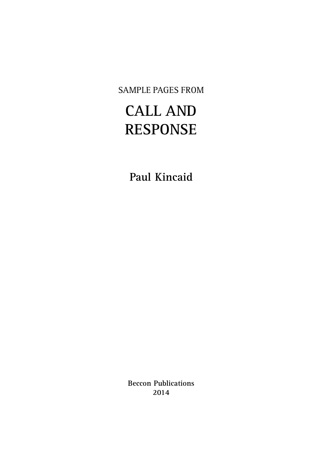SAMPLE PAGES FROM

## **CALL AND RESPONSE**

**Paul Kincaid**

**Beccon Publications 2014**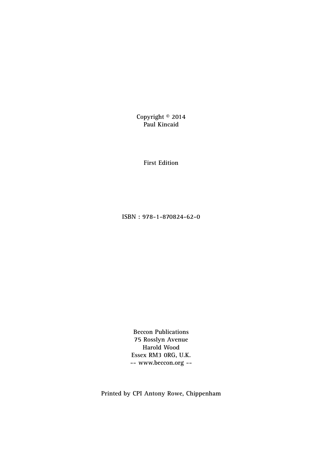**Copyright © 2014 Paul Kincaid**

**First Edition**

**ISBN : 978-1-870824-62-0**

**Beccon Publications 75 Rosslyn Avenue Harold Wood Essex RM3 0RG, U.K. -- www.beccon.org --**

**Printed by CPI Antony Rowe, Chippenham**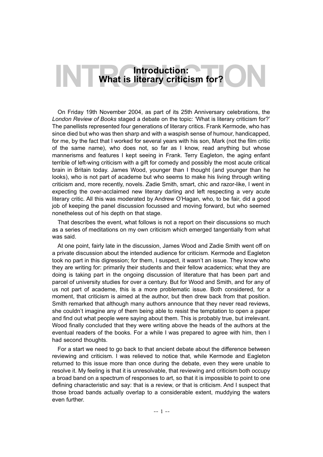## **Introduction:**<br> **INTRODUCTION:**<br> **INTRODUCTION:**<br> **INTRODUCTION: What is literary criticism for?**

On Friday 19th November 2004, as part of its 25th Anniversary celebrations, the *London Review of Books* staged a debate on the topic: 'What is literary criticism for?' The panellists represented four generations of literary critics. Frank Kermode, who has since died but who was then sharp and with a waspish sense of humour, handicapped, for me, by the fact that I worked for several years with his son, Mark (not the film critic of the same name), who does not, so far as I know, read anything but whose mannerisms and features I kept seeing in Frank. Terry Eagleton, the aging enfant terrible of left-wing criticism with a gift for comedy and possibly the most acute critical brain in Britain today. James Wood, younger than I thought (and younger than he looks), who is not part of academe but who seems to make his living through writing criticism and, more recently, novels. Zadie Smith, smart, chic and razor-like, I went in expecting the over-acclaimed new literary darling and left respecting a very acute literary critic. All this was moderated by Andrew O'Hagan, who, to be fair, did a good job of keeping the panel discussion focussed and moving forward, but who seemed nonetheless out of his depth on that stage.

That describes the event, what follows is not a report on their discussions so much as a series of meditations on my own criticism which emerged tangentially from what was said.

At one point, fairly late in the discussion, James Wood and Zadie Smith went off on a private discussion about the intended audience for criticism. Kermode and Eagleton took no part in this digression; for them, I suspect, it wasn't an issue. They know who they are writing for: primarily their students and their fellow academics; what they are doing is taking part in the ongoing discussion of literature that has been part and parcel of university studies for over a century. But for Wood and Smith, and for any of us not part of academe, this is a more problematic issue. Both considered, for a moment, that criticism is aimed at the author, but then drew back from that position. Smith remarked that although many authors announce that they never read reviews, she couldn't imagine any of them being able to resist the temptation to open a paper and find out what people were saying about them. This is probably true, but irrelevant. Wood finally concluded that they were writing above the heads of the authors at the eventual readers of the books. For a while I was prepared to agree with him, then I had second thoughts.

For a start we need to go back to that ancient debate about the difference between reviewing and criticism. I was relieved to notice that, while Kermode and Eagleton returned to this issue more than once during the debate, even they were unable to resolve it. My feeling is that it is unresolvable, that reviewing and criticism both occupy a broad band on a spectrum of responses to art, so that it is impossible to point to one defining characteristic and say: that is a review, or that is criticism. And I suspect that those broad bands actually overlap to a considerable extent, muddying the waters even further.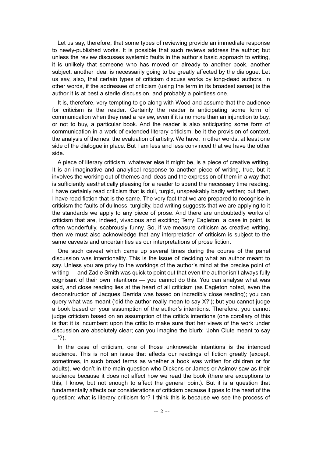Let us say, therefore, that some types of reviewing provide an immediate response to newly-published works. It is possible that such reviews address the author; but unless the review discusses systemic faults in the author's basic approach to writing, it is unlikely that someone who has moved on already to another book, another subject, another idea, is necessarily going to be greatly affected by the dialogue. Let us say, also, that certain types of criticism discuss works by long-dead authors. In other words, if the addressee of criticism (using the term in its broadest sense) is the author it is at best a sterile discussion, and probably a pointless one.

It is, therefore, very tempting to go along with Wood and assume that the audience for criticism is the reader. Certainly the reader is anticipating some form of communication when they read a review, even if it is no more than an injunction to buy, or not to buy, a particular book. And the reader is also anticipating some form of communication in a work of extended literary criticism, be it the provision of context, the analysis of themes, the evaluation of artistry. We have, in other words, at least one side of the dialogue in place. But I am less and less convinced that we have the other side.

A piece of literary criticism, whatever else it might be, is a piece of creative writing. It is an imaginative and analytical response to another piece of writing, true, but it involves the working out of themes and ideas and the expression of them in a way that is sufficiently aesthetically pleasing for a reader to spend the necessary time reading. I have certainly read criticism that is dull, turgid, unspeakably badly written; but then, I have read fiction that is the same. The very fact that we are prepared to recognise in criticism the faults of dullness, turgidity, bad writing suggests that we are applying to it the standards we apply to any piece of prose. And there are undoubtedly works of criticism that are, indeed, vivacious and exciting; Terry Eagleton, a case in point, is often wonderfully, scabrously funny. So, if we measure criticism as creative writing, then we must also acknowledge that any interpretation of criticism is subject to the same caveats and uncertainties as our interpretations of prose fiction.

One such caveat which came up several times during the course of the panel discussion was intentionality. This is the issue of deciding what an author meant to say. Unless you are privy to the workings of the author's mind at the precise point of writing — and Zadie Smith was quick to point out that even the author isn't always fully cognisant of their own intentions — you cannot do this. You can analyse what was said, and close reading lies at the heart of all criticism (as Eagleton noted, even the deconstruction of Jacques Derrida was based on incredibly close reading); you can query what was meant ('did the author really mean to say X?'); but you cannot judge a book based on your assumption of the author's intentions. Therefore, you cannot judge criticism based on an assumption of the critic's intentions (one corollary of this is that it is incumbent upon the critic to make sure that her views of the work under discussion are absolutely clear; can you imagine the blurb: 'John Clute meant to say …'?).

In the case of criticism, one of those unknowable intentions is the intended audience. This is not an issue that affects our readings of fiction greatly (except, sometimes, in such broad terms as whether a book was written for children or for adults), we don't in the main question who Dickens or James or Asimov saw as their audience because it does not affect how we read the book (there are exceptions to this, I know, but not enough to affect the general point). But it is a question that fundamentally affects our considerations of criticism because it goes to the heart of the question: what is literary criticism for? I think this is because we see the process of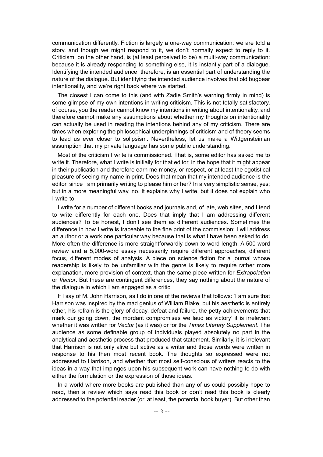communication differently. Fiction is largely a one-way communication: we are told a story, and though we might respond to it, we don't normally expect to reply to it. Criticism, on the other hand, is (at least perceived to be) a multi-way communication: because it is already responding to something else, it is instantly part of a dialogue. Identifying the intended audience, therefore, is an essential part of understanding the nature of the dialogue. But identifying the intended audience involves that old bugbear intentionality, and we're right back where we started.

The closest I can come to this (and with Zadie Smith's warning firmly in mind) is some glimpse of my own intentions in writing criticism. This is not totally satisfactory, of course, you the reader cannot know my intentions in writing about intentionality, and therefore cannot make any assumptions about whether my thoughts on intentionality can actually be used in reading the intentions behind any of my criticism. There are times when exploring the philosophical underpinnings of criticism and of theory seems to lead us ever closer to solipsism. Nevertheless, let us make a Wittgensteinian assumption that my private language has some public understanding.

Most of the criticism I write is commissioned. That is, some editor has asked me to write it. Therefore, what I write is initially for that editor, in the hope that it might appear in their publication and therefore earn me money, or respect, or at least the egotistical pleasure of seeing my name in print. Does that mean that my intended audience is the editor, since I am primarily writing to please him or her? In a very simplistic sense, yes; but in a more meaningful way, no. It explains why I write, but it does not explain who I write to.

I write for a number of different books and journals and, of late, web sites, and I tend to write differently for each one. Does that imply that I am addressing different audiences? To be honest, I don't see them as different audiences. Sometimes the difference in how I write is traceable to the fine print of the commission: I will address an author or a work one particular way because that is what I have been asked to do. More often the difference is more straightforwardly down to word length. A 500-word review and a 5,000-word essay necessarily require different approaches, different focus, different modes of analysis. A piece on science fiction for a journal whose readership is likely to be unfamiliar with the genre is likely to require rather more explanation, more provision of context, than the same piece written for *Extrapolation* or *Vector*. But these are contingent differences, they say nothing about the nature of the dialogue in which I am engaged as a critic.

If I say of M. John Harrison, as I do in one of the reviews that follows: 'I am sure that Harrison was inspired by the mad genius of William Blake, but his aesthetic is entirely other, his refrain is the glory of decay, defeat and failure, the petty achievements that mark our going down, the mordant compromises we laud as victory' it is irrelevant whether it was written for *Vector* (as it was) or for the *Times Literary Supplement*. The audience as some definable group of individuals played absolutely no part in the analytical and aesthetic process that produced that statement. Similarly, it is irrelevant that Harrison is not only alive but active as a writer and those words were written in response to his then most recent book. The thoughts so expressed were not addressed to Harrison, and whether that most self-conscious of writers reacts to the ideas in a way that impinges upon his subsequent work can have nothing to do with either the formulation or the expression of those ideas.

In a world where more books are published than any of us could possibly hope to read, then a review which says read this book or don't read this book is clearly addressed to the potential reader (or, at least, the potential book buyer). But other than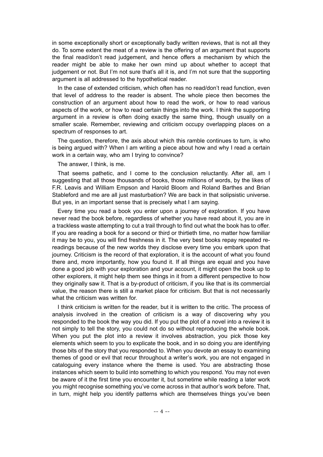in some exceptionally short or exceptionally badly written reviews, that is not all they do. To some extent the meat of a review is the offering of an argument that supports the final read/don't read judgement, and hence offers a mechanism by which the reader might be able to make her own mind up about whether to accept that judgement or not. But I'm not sure that's all it is, and I'm not sure that the supporting argument is all addressed to the hypothetical reader.

In the case of extended criticism, which often has no read/don't read function, even that level of address to the reader is absent. The whole piece then becomes the construction of an argument about how to read the work, or how to read various aspects of the work, or how to read certain things into the work. I think the supporting argument in a review is often doing exactly the same thing, though usually on a smaller scale. Remember, reviewing and criticism occupy overlapping places on a spectrum of responses to art.

The question, therefore, the axis about which this ramble continues to turn, is who is being argued with? When I am writing a piece about how and why I read a certain work in a certain way, who am I trying to convince?

The answer, I think, is me.

That seems pathetic, and I come to the conclusion reluctantly. After all, am I suggesting that all those thousands of books, those millions of words, by the likes of F.R. Leavis and William Empson and Harold Bloom and Roland Barthes and Brian Stableford and me are all just masturbation? We are back in that solipsistic universe. But yes, in an important sense that is precisely what I am saying.

Every time you read a book you enter upon a journey of exploration. If you have never read the book before, regardless of whether you have read about it, you are in a trackless waste attempting to cut a trail through to find out what the book has to offer. If you are reading a book for a second or third or thirtieth time, no matter how familiar it may be to you, you will find freshness in it. The very best books repay repeated rereadings because of the new worlds they disclose every time you embark upon that journey. Criticism is the record of that exploration, it is the account of what you found there and, more importantly, how you found it. If all things are equal and you have done a good job with your exploration and your account, it might open the book up to other explorers, it might help them see things in it from a different perspective to how they originally saw it. That is a by-product of criticism, if you like that is its commercial value, the reason there is still a market place for criticism. But that is not necessarily what the criticism was written for.

I think criticism is written for the reader, but it is written to the critic. The process of analysis involved in the creation of criticism is a way of discovering why you responded to the book the way you did. If you put the plot of a novel into a review it is not simply to tell the story, you could not do so without reproducing the whole book. When you put the plot into a review it involves abstraction, you pick those key elements which seem to you to explicate the book, and in so doing you are identifying those bits of the story that you responded to. When you devote an essay to examining themes of good or evil that recur throughout a writer's work, you are not engaged in cataloguing every instance where the theme is used. You are abstracting those instances which seem to build into something to which you respond. You may not even be aware of it the first time you encounter it, but sometime while reading a later work you might recognise something you've come across in that author's work before. That, in turn, might help you identify patterns which are themselves things you've been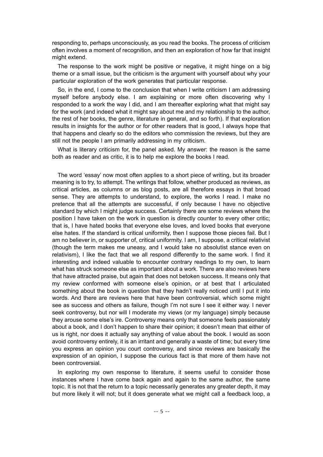responding to, perhaps unconsciously, as you read the books. The process of criticism often involves a moment of recognition, and then an exploration of how far that insight might extend.

The response to the work might be positive or negative, it might hinge on a big theme or a small issue, but the criticism is the argument with yourself about why your particular exploration of the work generates that particular response.

So, in the end, I come to the conclusion that when I write criticism I am addressing myself before anybody else. I am explaining or more often discovering why I responded to a work the way I did, and I am thereafter exploring what that might say for the work (and indeed what it might say about me and my relationship to the author, the rest of her books, the genre, literature in general, and so forth). If that exploration results in insights for the author or for other readers that is good, I always hope that that happens and clearly so do the editors who commission the reviews, but they are still not the people I am primarily addressing in my criticism.

What is literary criticism for, the panel asked. My answer: the reason is the same both as reader and as critic, it is to help me explore the books I read.

The word 'essay' now most often applies to a short piece of writing, but its broader meaning is to try, to attempt. The writings that follow, whether produced as reviews, as critical articles, as columns or as blog posts, are all therefore essays in that broad sense. They are attempts to understand, to explore, the works I read. I make no pretence that all the attempts are successful, if only because I have no objective standard by which I might judge success. Certainly there are some reviews where the position I have taken on the work in question is directly counter to every other critic; that is, I have hated books that everyone else loves, and loved books that everyone else hates. If the standard is critical uniformity, then I suppose those pieces fail. But I am no believer in, or supporter of, critical uniformity. I am, I suppose, a critical relativist (though the term makes me uneasy, and I would take no absolutist stance even on relativism), I like the fact that we all respond differently to the same work. I find it interesting and indeed valuable to encounter contrary readings to my own, to learn what has struck someone else as important about a work. There are also reviews here that have attracted praise, but again that does not betoken success. It means only that my review conformed with someone else's opinion, or at best that I articulated something about the book in question that they hadn't really noticed until I put it into words. And there are reviews here that have been controversial, which some might see as success and others as failure, though I'm not sure I see it either way. I never seek controversy, but nor will I moderate my views (or my language) simply because they arouse some else's ire. Controversy means only that someone feels passionately about a book, and I don't happen to share their opinion; it doesn't mean that either of us is right, nor does it actually say anything of value about the book. I would as soon avoid controversy entirely, it is an irritant and generally a waste of time; but every time you express an opinion you court controversy, and since reviews are basically the expression of an opinion, I suppose the curious fact is that more of them have not been controversial.

In exploring my own response to literature, it seems useful to consider those instances where I have come back again and again to the same author, the same topic. It is not that the return to a topic necessarily generates any greater depth, it may but more likely it will not; but it does generate what we might call a feedback loop, a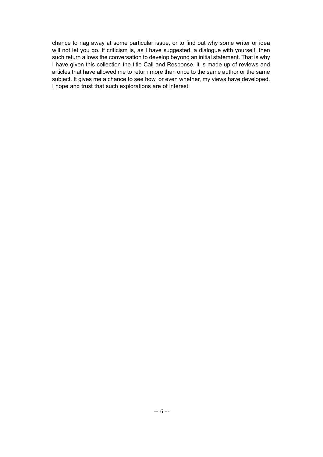chance to nag away at some particular issue, or to find out why some writer or idea will not let you go. If criticism is, as I have suggested, a dialogue with yourself, then such return allows the conversation to develop beyond an initial statement. That is why I have given this collection the title Call and Response, it is made up of reviews and articles that have allowed me to return more than once to the same author or the same subject. It gives me a chance to see how, or even whether, my views have developed. I hope and trust that such explorations are of interest.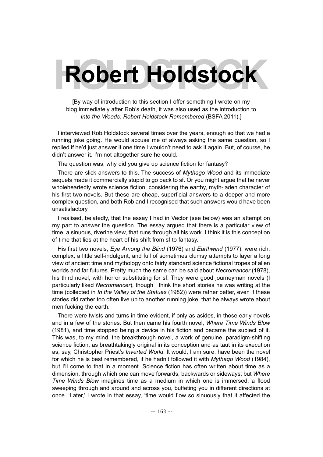# **Robert Holdstock**

[By way of introduction to this section I offer something I wrote on my blog immediately after Rob's death, it was also used as the introduction to *Into the Woods: Robert Holdstock Remembered* (BSFA 2011).]

I interviewed Rob Holdstock several times over the years, enough so that we had a running joke going. He would accuse me of always asking the same question, so I replied if he'd just answer it one time I wouldn't need to ask it again. But, of course, he didn't answer it. I'm not altogether sure he could.

The question was: why did you give up science fiction for fantasy?

There are slick answers to this. The success of *Mythago Wood* and its immediate sequels made it commercially stupid to go back to sf. Or you might argue that he never wholeheartedly wrote science fiction, considering the earthy, myth-laden character of his first two novels. But these are cheap, superficial answers to a deeper and more complex question, and both Rob and I recognised that such answers would have been unsatisfactory.

I realised, belatedly, that the essay I had in Vector (see below) was an attempt on my part to answer the question. The essay argued that there is a particular view of time, a sinuous, riverine view, that runs through all his work. I think it is this conception of time that lies at the heart of his shift from sf to fantasy.

His first two novels, *Eye Among the Blind* (1976) and *Earthwind* (1977), were rich, complex, a little self-indulgent, and full of sometimes clumsy attempts to layer a long view of ancient time and mythology onto fairly standard science fictional tropes of alien worlds and far futures. Pretty much the same can be said about *Necromancer* (1978), his third novel, with horror substituting for sf. They were good journeyman novels (I particularly liked *Necromancer*), though I think the short stories he was writing at the time (collected in *In the Valley of the Statues* (1982)) were rather better, even if these stories did rather too often live up to another running joke, that he always wrote about men fucking the earth.

There were twists and turns in time evident, if only as asides, in those early novels and in a few of the stories. But then came his fourth novel, *Where Time Winds Blow* (1981), and time stopped being a device in his fiction and became the subject of it. This was, to my mind, the breakthrough novel, a work of genuine, paradigm-shifting science fiction, as breathtakingly original in its conception and as taut in its execution as, say, Christopher Priest's *Inverted World*. It would, I am sure, have been the novel for which he is best remembered, if he hadn't followed it with *Mythago Wood* (1984), but I'll come to that in a moment. Science fiction has often written about time as a dimension, through which one can move forwards, backwards or sideways; but *Where Time Winds Blow* imagines time as a medium in which one is immersed, a flood sweeping through and around and across you, buffeting you in different directions at once. 'Later,' I wrote in that essay, 'time would flow so sinuously that it affected the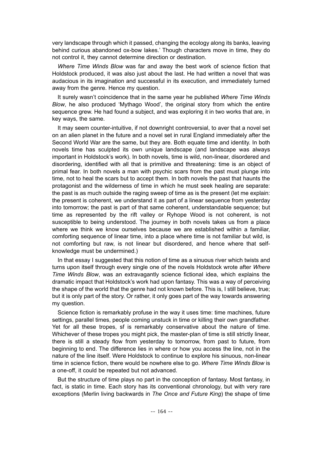very landscape through which it passed, changing the ecology along its banks, leaving behind curious abandoned ox-bow lakes.' Though characters move in time, they do not control it, they cannot determine direction or destination.

*Where Time Winds Blow* was far and away the best work of science fiction that Holdstock produced, it was also just about the last. He had written a novel that was audacious in its imagination and successful in its execution, and immediately turned away from the genre. Hence my question.

It surely wasn't coincidence that in the same year he published *Where Time Winds Blow*, he also produced 'Mythago Wood', the original story from which the entire sequence grew. He had found a subject, and was exploring it in two works that are, in key ways, the same.

It may seem counter-intuitive, if not downright controversial, to aver that a novel set on an alien planet in the future and a novel set in rural England immediately after the Second World War are the same, but they are. Both equate time and identity. In both novels time has sculpted its own unique landscape (and landscape was always important in Holdstock's work). In both novels, time is wild, non-linear, disordered and disordering, identified with all that is primitive and threatening: time is an object of primal fear. In both novels a man with psychic scars from the past must plunge into time, not to heal the scars but to accept them. In both novels the past that haunts the protagonist and the wilderness of time in which he must seek healing are separate: the past is as much outside the raging sweep of time as is the present (let me explain: the present is coherent, we understand it as part of a linear sequence from yesterday into tomorrow; the past is part of that same coherent, understandable sequence; but time as represented by the rift valley or Ryhope Wood is not coherent, is not susceptible to being understood. The journey in both novels takes us from a place where we think we know ourselves because we are established within a familiar, comforting sequence of linear time, into a place where time is not familiar but wild, is not comforting but raw, is not linear but disordered, and hence where that selfknowledge must be undermined.)

In that essay I suggested that this notion of time as a sinuous river which twists and turns upon itself through every single one of the novels Holdstock wrote after *Where Time Winds Blow*, was an extravagantly science fictional idea, which explains the dramatic impact that Holdstock's work had upon fantasy. This was a way of perceiving the shape of the world that the genre had not known before. This is, I still believe, true; but it is only part of the story. Or rather, it only goes part of the way towards answering my question.

Science fiction is remarkably profuse in the way it uses time: time machines, future settings, parallel times, people coming unstuck in time or killing their own grandfather. Yet for all these tropes, sf is remarkably conservative about the nature of time. Whichever of these tropes you might pick, the master-plan of time is still strictly linear, there is still a steady flow from yesterday to tomorrow, from past to future, from beginning to end. The difference lies in where or how you access the line, not in the nature of the line itself. Were Holdstock to continue to explore his sinuous, non-linear time in science fiction, there would be nowhere else to go. *Where Time Winds Blow* is a one-off, it could be repeated but not advanced.

But the structure of time plays no part in the conception of fantasy. Most fantasy, in fact, is static in time. Each story has its conventional chronology, but with very rare exceptions (Merlin living backwards in *The Once and Future King*) the shape of time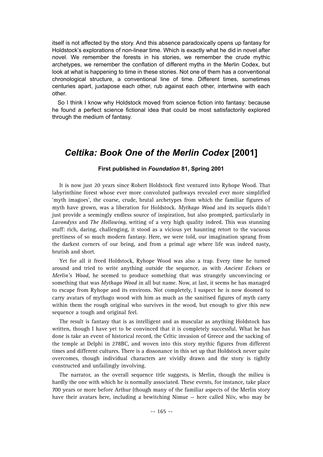itself is not affected by the story. And this absence paradoxically opens up fantasy for Holdstock's explorations of non-linear time. Which is exactly what he did in novel after novel. We remember the forests in his stories, we remember the crude mythic archetypes, we remember the conflation of different myths in the Merlin Codex, but look at what is happening to time in these stories. Not one of them has a conventional chronological structure, a conventional line of time. Different times, sometimes centuries apart, juxtapose each other, rub against each other, intertwine with each other.

So I think I know why Holdstock moved from science fiction into fantasy: because he found a perfect science fictional idea that could be most satisfactorily explored through the medium of fantasy.

### *Celtika: Book One of the Merlin Codex* **[2001]**

#### **First published in** *Foundation* **81, Spring 2001**

It is now just 20 years since Robert Holdstock first ventured into Ryhope Wood. That labyrinthine forest whose ever more convoluted pathways revealed ever more simplified 'myth imagoes', the coarse, crude, brutal archetypes from which the familiar figures of myth have grown, was a liberation for Holdstock. *Mythago Wood* and its sequels didn't just provide a seemingly endless source of inspiration, but also prompted, particularly in *Lavondyss* and *The Hollowing*, writing of a very high quality indeed. This was stunning stuff: rich, daring, challenging, it stood as a vicious yet haunting retort to the vacuous prettiness of so much modern fantasy. Here, we were told, our imagination sprang from the darkest corners of our being, and from a primal age where life was indeed nasty, brutish and short.

Yet for all it freed Holdstock, Ryhope Wood was also a trap. Every time he turned around and tried to write anything outside the sequence, as with *Ancient Echoes* or *Merlin's Wood*, he seemed to produce something that was strangely unconvincing or something that was *Mythago Wood* in all but name. Now, at last, it seems he has managed to escape from Ryhope and its environs. Not completely, I suspect he is now doomed to carry avatars of mythago wood with him as much as the sanitised figures of myth carry within them the rough original who survives in the wood, but enough to give this new sequence a tough and original feel.

The result is fantasy that is as intelligent and as muscular as anything Holdstock has written, though I have yet to be convinced that it is completely successful. What he has done is take an event of historical record, the Celtic invasion of Greece and the sacking of the temple at Delphi in 278BC, and woven into this story mythic figures from different times and different cultures. There is a dissonance in this set up that Holdstock never quite overcomes, though individual characters are vividly drawn and the story is tightly constructed and unfailingly involving.

The narrator, as the overall sequence title suggests, is Merlin, though the milieu is hardly the one with which he is normally associated. These events, for instance, take place 700 years or more before Arthur (though many of the familiar aspects of the Merlin story have their avatars here, including a bewitching Nimue — here called Niiv, who may be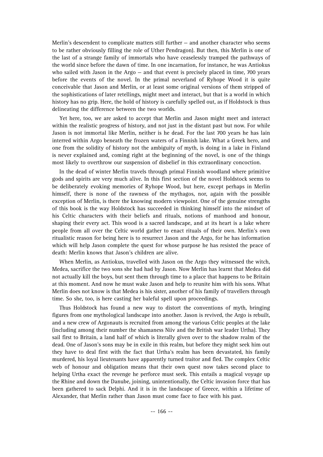Merlin's descendent to complicate matters still further — and another character who seems to be rather obviously filling the role of Uther Pendragon). But then, this Merlin is one of the last of a strange family of immortals who have ceaselessly tramped the pathways of the world since before the dawn of time. In one incarnation, for instance, he was Antiokus who sailed with Jason in the Argo — and that event is precisely placed in time, 700 years before the events of the novel. In the primal neverland of Ryhope Wood it is quite conceivable that Jason and Merlin, or at least some original versions of them stripped of the sophistications of later retellings, might meet and interact, but that is a world in which history has no grip. Here, the hold of history is carefully spelled out, as if Holdstock is thus delineating the difference between the two worlds.

Yet here, too, we are asked to accept that Merlin and Jason might meet and interact within the realistic progress of history, and not just in the distant past but now. For while Jason is not immortal like Merlin, neither is he dead. For the last 700 years he has lain interred within Argo beneath the frozen waters of a Finnish lake. What a Greek hero, and one from the solidity of history not the ambiguity of myth, is doing in a lake in Finland is never explained and, coming right at the beginning of the novel, is one of the things most likely to overthrow our suspension of disbelief in this extraordinary concoction.

In the dead of winter Merlin travels through primal Finnish woodland where primitive gods and spirits are very much alive. In this first section of the novel Holdstock seems to be deliberately evoking memories of Ryhope Wood, but here, except perhaps in Merlin himself, there is none of the rawness of the mythagos, nor, again with the possible exception of Merlin, is there the knowing modern viewpoint. One of the genuine strengths of this book is the way Holdstock has succeeded in thinking himself into the mindset of his Celtic characters with their beliefs and rituals, notions of manhood and honour, shaping their every act. This wood is a sacred landscape, and at its heart is a lake where people from all over the Celtic world gather to enact rituals of their own. Merlin's own ritualistic reason for being here is to resurrect Jason and the Argo, for he has information which will help Jason complete the quest for whose purpose he has resisted the peace of death: Merlin knows that Jason's children are alive.

When Merlin, as Antiokus, travelled with Jason on the Argo they witnessed the witch, Medea, sacrifice the two sons she had had by Jason. Now Merlin has learnt that Medea did not actually kill the boys, but sent them through time to a place that happens to be Britain at this moment. And now he must wake Jason and help to reunite him with his sons. What Merlin does not know is that Medea is his sister, another of his family of travellers through time. So she, too, is here casting her baleful spell upon proceedings.

Thus Holdstock has found a new way to distort the conventions of myth, bringing figures from one mythological landscape into another. Jason is revived, the Argo is rebuilt, and a new crew of Argonauts is recruited from among the various Celtic peoples at the lake (including among their number the shamaness Niiv and the British war leader Urtha). They sail first to Britain, a land half of which is literally given over to the shadow realm of the dead. One of Jason's sons may be in exile in this realm, but before they might seek him out they have to deal first with the fact that Urtha's realm has been devastated, his family murdered, his loyal lieutenants have apparently turned traitor and fled. The complex Celtic web of honour and obligation means that their own quest now takes second place to helping Urtha exact the revenge he perforce must seek. This entails a magical voyage up the Rhine and down the Danube, joining, unintentionally, the Celtic invasion force that has been gathered to sack Delphi. And it is in the landscape of Greece, within a lifetime of Alexander, that Merlin rather than Jason must come face to face with his past.